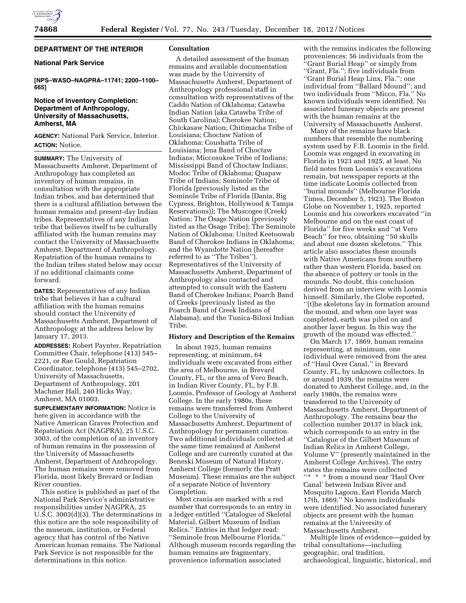### **DEPARTMENT OF THE INTERIOR**

## **National Park Service**

**[NPS–WASO–NAGPRA–11741; 2200–1100– 665]** 

# **Notice of Inventory Completion: Department of Anthropology, University of Massachusetts, Amherst, MA**

**AGENCY:** National Park Service, Interior. **ACTION:** Notice.

**SUMMARY:** The University of Massachusetts Amherst, Department of Anthropology has completed an inventory of human remains, in consultation with the appropriate Indian tribes, and has determined that there is a cultural affiliation between the human remains and present-day Indian tribes. Representatives of any Indian tribe that believes itself to be culturally affiliated with the human remains may contact the University of Massachusetts Amherst, Department of Anthropology. Repatriation of the human remains to the Indian tribes stated below may occur if no additional claimants come forward.

**DATES:** Representatives of any Indian tribe that believes it has a cultural affiliation with the human remains should contact the University of Massachusetts Amherst, Department of Anthropology at the address below by January 17, 2013.

**ADDRESSES:** Robert Paynter, Repatriation Committee Chair, telephone (413) 545– 2221, or Rae Gould, Repatriation Coordinator, telephone (413) 545–2702, University of Massachusetts, Department of Anthropology, 201 Machmer Hall, 240 Hicks Way, Amherst, MA 01003.

**SUPPLEMENTARY INFORMATION:** Notice is here given in accordance with the Native American Graves Protection and Repatriation Act (NAGPRA), 25 U.S.C. 3003, of the completion of an inventory of human remains in the possession of the University of Massachusetts Amherst, Department of Anthropology. The human remains were removed from Florida, most likely Brevard or Indian River counties.

This notice is published as part of the National Park Service's administrative responsibilities under NAGPRA, 25 U.S.C. 3003(d)(3). The determinations in this notice are the sole responsibility of the museum, institution, or Federal agency that has control of the Native American human remains. The National Park Service is not responsible for the determinations in this notice.

### **Consultation**

A detailed assessment of the human remains and available documentation was made by the University of Massachusetts Amherst, Department of Anthropology professional staff in consultation with representatives of the Caddo Nation of Oklahoma; Catawba Indian Nation (aka Catawba Tribe of South Carolina); Cherokee Nation; Chickasaw Nation; Chitimacha Tribe of Louisiana; Choctaw Nation of Oklahoma; Coushatta Tribe of Louisiana; Jena Band of Choctaw Indians; Miccosukee Tribe of Indians; Mississippi Band of Choctaw Indians; Modoc Tribe of Oklahoma; Quapaw Tribe of Indians; Seminole Tribe of Florida (previously listed as the Seminole Tribe of Florida (Dania, Big Cypress, Brighton, Hollywood & Tampa Reservations)); The Muscogee (Creek) Nation; The Osage Nation (previously listed as the Osage Tribe); The Seminole Nation of Oklahoma; United Keetoowah Band of Cherokee Indians in Oklahoma; and the Wyandotte Nation (hereafter referred to as ''The Tribes''). Representatives of the University of Massachusetts Amherst, Department of Anthropology also contacted and attempted to consult with the Eastern Band of Cherokee Indians; Poarch Band of Creeks (previously listed as the Poarch Band of Creek Indians of Alabama); and the Tunica-Biloxi Indian Tribe.

#### **History and Description of the Remains**

In about 1925, human remains representing, at minimum, 64 individuals were excavated from either the area of Melbourne, in Brevard County, FL, or the area of Vero Beach, in Indian River County, FL, by F.B. Loomis, Professor of Geology at Amherst College. In the early 1980s, these remains were transferred from Amherst College to the University of Massachusetts Amherst, Department of Anthropology for permanent curation. Two additional individuals collected at the same time remained at Amherst College and are currently curated at the Beneski Museum of Natural History, Amherst College (formerly the Pratt Museum). These remains are the subject of a separate Notice of Inventory Completion.

Most crania are marked with a red number that corresponds to an entry in a ledger entitled ''Catalogue of Skeletal Material, Gilbert Museum of Indian Relics.'' Entries in that ledger read: ''Seminole from Melbourne Florida.'' Although museum records regarding the human remains are fragmentary, provenience information associated

with the remains indicates the following proveniences: 56 individuals from the ''Grant Burial Heap'' or simply from ''Grant, Fla.''; five individuals from ''Grant Burial Heap Linx, Fla.''; one individual from ''Ballard Mound''; and two individuals from ''Micco, Fla.'' No known individuals were identified. No associated funerary objects are present with the human remains at the University of Massachusetts Amherst.

Many of the remains have black numbers that resemble the numbering system used by F.B. Loomis in the field. Loomis was engaged in excavating in Florida in 1923 and 1925, at least. No field notes from Loomis's excavations remain, but newspaper reports at the time indicate Loomis collected from ''burial mounds'' (Melbourne Florida Times, December 5, 1923). The Boston Globe on November 1, 1925, reported Loomis and his coworkers excavated ''in Melbourne and on the east coast of Florida'' for five weeks and ''at Vero Beach'' for two, obtaining ''50 skulls and about one dozen skeletons.'' This article also associates these mounds with Native Americans from southern rather than western Florida, based on the absence of pottery or tools in the mounds. No doubt, this conclusion derived from an interview with Loomis himself. Similarly, the Globe reported, ''[t]he skeletons lay in formation around the mound, and when one layer was completed, earth was piled on and another layer begun. In this way the growth of the mound was effected.''

On March 17, 1869, human remains representing, at minimum, one individual were removed from the area of ''Haul Over Canal,'' in Brevard County, FL, by unknown collectors. In or around 1939, the remains were donated to Amherst College, and, in the early 1980s, the remains were transferred to the University of Massachusetts Amherst, Department of Anthropology. The remains bear the collection number 20137 in black ink, which corresponds to an entry in the ''Catalogue of the Gilbert Museum of Indian Relics in Amherst College, Volume V'' (presently maintained in the Amherst College Archives). The entry states the remains were collected

 $\lq \lq \lq \lq \lq \lq \lq$  \* from a mound near 'Haul Over Canal' between Indian River and Mosquito Lagoon, East Florida March 17th, 1869.'' No known individuals were identified. No associated funerary objects are present with the human remains at the University of Massachusetts Amherst.

Multiple lines of evidence—guided by tribal consultations—including geographic, oral tradition, archaeological, linguistic, historical, and